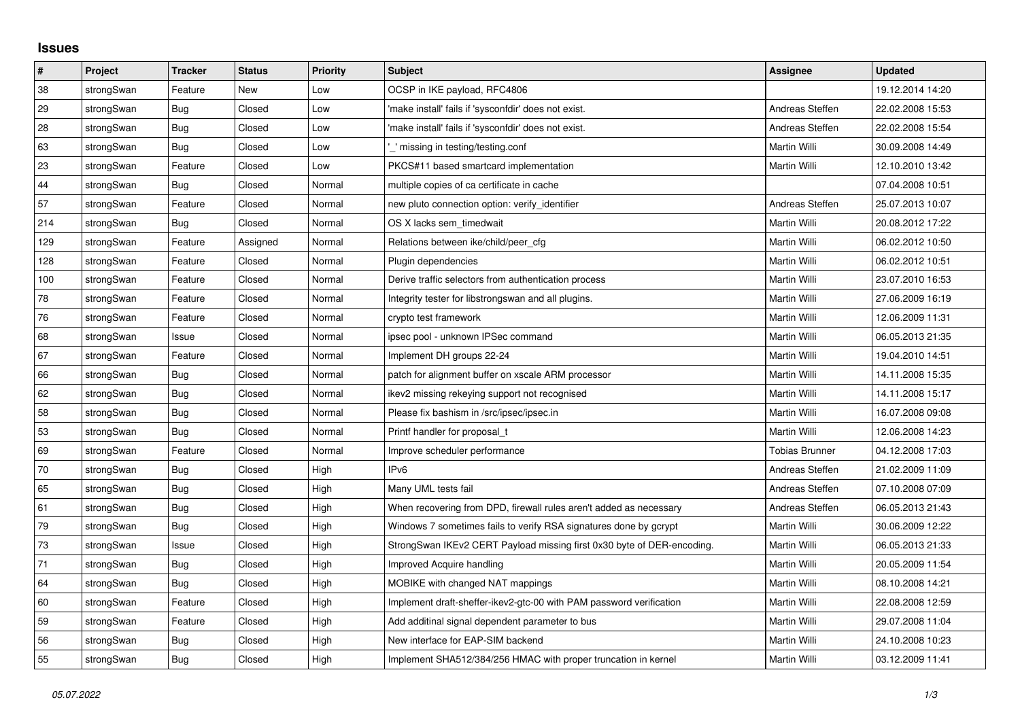## **Issues**

| $\vert$ # | Project    | <b>Tracker</b> | <b>Status</b> | Priority | <b>Subject</b>                                                         | Assignee        | <b>Updated</b>   |
|-----------|------------|----------------|---------------|----------|------------------------------------------------------------------------|-----------------|------------------|
| 38        | strongSwan | Feature        | New           | Low      | OCSP in IKE payload, RFC4806                                           |                 | 19.12.2014 14:20 |
| 29        | strongSwan | Bug            | Closed        | Low      | 'make install' fails if 'sysconfdir' does not exist.                   | Andreas Steffen | 22.02.2008 15:53 |
| 28        | strongSwan | Bug            | Closed        | Low      | 'make install' fails if 'sysconfdir' does not exist.                   | Andreas Steffen | 22.02.2008 15:54 |
| 63        | strongSwan | Bug            | Closed        | Low      | missing in testing/testing.conf                                        | Martin Willi    | 30.09.2008 14:49 |
| 23        | strongSwan | Feature        | Closed        | Low      | PKCS#11 based smartcard implementation                                 | Martin Willi    | 12.10.2010 13:42 |
| 44        | strongSwan | Bug            | Closed        | Normal   | multiple copies of ca certificate in cache                             |                 | 07.04.2008 10:51 |
| 57        | strongSwan | Feature        | Closed        | Normal   | new pluto connection option: verify_identifier                         | Andreas Steffen | 25.07.2013 10:07 |
| 214       | strongSwan | Bug            | Closed        | Normal   | OS X lacks sem timedwait                                               | Martin Willi    | 20.08.2012 17:22 |
| 129       | strongSwan | Feature        | Assigned      | Normal   | Relations between ike/child/peer_cfg                                   | Martin Willi    | 06.02.2012 10:50 |
| 128       | strongSwan | Feature        | Closed        | Normal   | Plugin dependencies                                                    | Martin Willi    | 06.02.2012 10:51 |
| 100       | strongSwan | Feature        | Closed        | Normal   | Derive traffic selectors from authentication process                   | Martin Willi    | 23.07.2010 16:53 |
| 78        | strongSwan | Feature        | Closed        | Normal   | Integrity tester for libstrongswan and all plugins.                    | Martin Willi    | 27.06.2009 16:19 |
| 76        | strongSwan | Feature        | Closed        | Normal   | crypto test framework                                                  | Martin Willi    | 12.06.2009 11:31 |
| 68        | strongSwan | Issue          | Closed        | Normal   | ipsec pool - unknown IPSec command                                     | Martin Willi    | 06.05.2013 21:35 |
| 67        | strongSwan | Feature        | Closed        | Normal   | Implement DH groups 22-24                                              | Martin Willi    | 19.04.2010 14:51 |
| 66        | strongSwan | Bug            | Closed        | Normal   | patch for alignment buffer on xscale ARM processor                     | Martin Willi    | 14.11.2008 15:35 |
| 62        | strongSwan | Bug            | Closed        | Normal   | ikev2 missing rekeying support not recognised                          | Martin Willi    | 14.11.2008 15:17 |
| 58        | strongSwan | <b>Bug</b>     | Closed        | Normal   | Please fix bashism in /src/ipsec/ipsec.in                              | Martin Willi    | 16.07.2008 09:08 |
| 53        | strongSwan | Bug            | Closed        | Normal   | Printf handler for proposal t                                          | Martin Willi    | 12.06.2008 14:23 |
| 69        | strongSwan | Feature        | Closed        | Normal   | Improve scheduler performance                                          | Tobias Brunner  | 04.12.2008 17:03 |
| 70        | strongSwan | Bug            | Closed        | High     | IP <sub>v6</sub>                                                       | Andreas Steffen | 21.02.2009 11:09 |
| 65        | strongSwan | Bug            | Closed        | High     | Many UML tests fail                                                    | Andreas Steffen | 07.10.2008 07:09 |
| 61        | strongSwan | <b>Bug</b>     | Closed        | High     | When recovering from DPD, firewall rules aren't added as necessary     | Andreas Steffen | 06.05.2013 21:43 |
| 79        | strongSwan | Bug            | Closed        | High     | Windows 7 sometimes fails to verify RSA signatures done by gcrypt      | Martin Willi    | 30.06.2009 12:22 |
| 73        | strongSwan | Issue          | Closed        | High     | StrongSwan IKEv2 CERT Payload missing first 0x30 byte of DER-encoding. | Martin Willi    | 06.05.2013 21:33 |
| 71        | strongSwan | <b>Bug</b>     | Closed        | High     | Improved Acquire handling                                              | Martin Willi    | 20.05.2009 11:54 |
| 64        | strongSwan | Bug            | Closed        | High     | MOBIKE with changed NAT mappings                                       | Martin Willi    | 08.10.2008 14:21 |
| 60        | strongSwan | Feature        | Closed        | High     | Implement draft-sheffer-ikev2-gtc-00 with PAM password verification    | Martin Willi    | 22.08.2008 12:59 |
| 59        | strongSwan | Feature        | Closed        | High     | Add additinal signal dependent parameter to bus                        | Martin Willi    | 29.07.2008 11:04 |
| 56        | strongSwan | Bug            | Closed        | High     | New interface for EAP-SIM backend                                      | Martin Willi    | 24.10.2008 10:23 |
| 55        | strongSwan | Bug            | Closed        | High     | Implement SHA512/384/256 HMAC with proper truncation in kernel         | Martin Willi    | 03.12.2009 11:41 |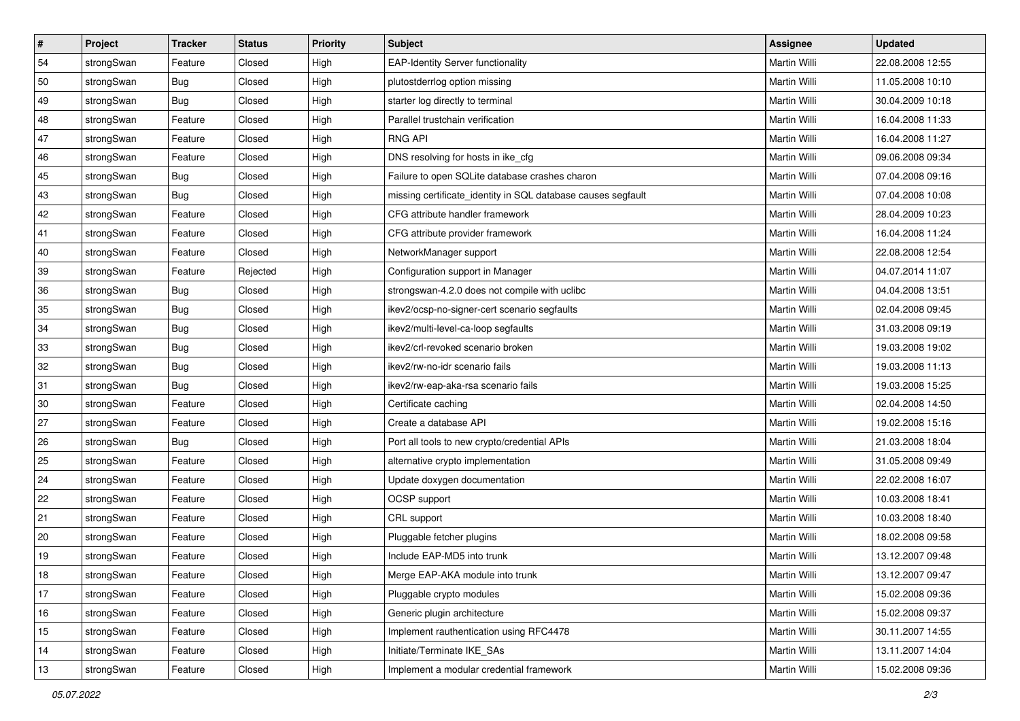| $\vert$ # | Project    | <b>Tracker</b> | <b>Status</b> | <b>Priority</b> | <b>Subject</b>                                               | Assignee            | <b>Updated</b>   |
|-----------|------------|----------------|---------------|-----------------|--------------------------------------------------------------|---------------------|------------------|
| 54        | strongSwan | Feature        | Closed        | High            | <b>EAP-Identity Server functionality</b>                     | Martin Willi        | 22.08.2008 12:55 |
| 50        | strongSwan | Bug            | Closed        | High            | plutostderrlog option missing                                | <b>Martin Willi</b> | 11.05.2008 10:10 |
| 49        | strongSwan | <b>Bug</b>     | Closed        | High            | starter log directly to terminal                             | Martin Willi        | 30.04.2009 10:18 |
| 48        | strongSwan | Feature        | Closed        | High            | Parallel trustchain verification                             | Martin Willi        | 16.04.2008 11:33 |
| 47        | strongSwan | Feature        | Closed        | High            | <b>RNG API</b>                                               | Martin Willi        | 16.04.2008 11:27 |
| 46        | strongSwan | Feature        | Closed        | High            | DNS resolving for hosts in ike_cfg                           | Martin Willi        | 09.06.2008 09:34 |
| 45        | strongSwan | Bug            | Closed        | High            | Failure to open SQLite database crashes charon               | Martin Willi        | 07.04.2008 09:16 |
| 43        | strongSwan | Bug            | Closed        | High            | missing certificate_identity in SQL database causes segfault | Martin Willi        | 07.04.2008 10:08 |
| 42        | strongSwan | Feature        | Closed        | High            | CFG attribute handler framework                              | Martin Willi        | 28.04.2009 10:23 |
| 41        | strongSwan | Feature        | Closed        | High            | CFG attribute provider framework                             | Martin Willi        | 16.04.2008 11:24 |
| 40        | strongSwan | Feature        | Closed        | High            | NetworkManager support                                       | Martin Willi        | 22.08.2008 12:54 |
| 39        | strongSwan | Feature        | Rejected      | High            | Configuration support in Manager                             | Martin Willi        | 04.07.2014 11:07 |
| 36        | strongSwan | Bug            | Closed        | High            | strongswan-4.2.0 does not compile with uclibc                | <b>Martin Willi</b> | 04.04.2008 13:51 |
| 35        | strongSwan | <b>Bug</b>     | Closed        | High            | ikev2/ocsp-no-signer-cert scenario segfaults                 | Martin Willi        | 02.04.2008 09:45 |
| 34        | strongSwan | Bug            | Closed        | High            | ikev2/multi-level-ca-loop segfaults                          | <b>Martin Willi</b> | 31.03.2008 09:19 |
| 33        | strongSwan | <b>Bug</b>     | Closed        | High            | ikev2/crl-revoked scenario broken                            | Martin Willi        | 19.03.2008 19:02 |
| 32        | strongSwan | <b>Bug</b>     | Closed        | High            | ikev2/rw-no-idr scenario fails                               | <b>Martin Willi</b> | 19.03.2008 11:13 |
| 31        | strongSwan | Bug            | Closed        | High            | ikev2/rw-eap-aka-rsa scenario fails                          | Martin Willi        | 19.03.2008 15:25 |
| 30        | strongSwan | Feature        | Closed        | High            | Certificate caching                                          | Martin Willi        | 02.04.2008 14:50 |
| 27        | strongSwan | Feature        | Closed        | High            | Create a database API                                        | Martin Willi        | 19.02.2008 15:16 |
| 26        | strongSwan | Bug            | Closed        | High            | Port all tools to new crypto/credential APIs                 | Martin Willi        | 21.03.2008 18:04 |
| 25        | strongSwan | Feature        | Closed        | High            | alternative crypto implementation                            | Martin Willi        | 31.05.2008 09:49 |
| 24        | strongSwan | Feature        | Closed        | High            | Update doxygen documentation                                 | Martin Willi        | 22.02.2008 16:07 |
| 22        | strongSwan | Feature        | Closed        | High            | OCSP support                                                 | Martin Willi        | 10.03.2008 18:41 |
| 21        | strongSwan | Feature        | Closed        | High            | CRL support                                                  | Martin Willi        | 10.03.2008 18:40 |
| 20        | strongSwan | Feature        | Closed        | High            | Pluggable fetcher plugins                                    | Martin Willi        | 18.02.2008 09:58 |
| 19        | strongSwan | Feature        | Closed        | High            | Include EAP-MD5 into trunk                                   | Martin Willi        | 13.12.2007 09:48 |
| $18$      | strongSwan | Feature        | Closed        | High            | Merge EAP-AKA module into trunk                              | Martin Willi        | 13.12.2007 09:47 |
| 17        | strongSwan | Feature        | Closed        | High            | Pluggable crypto modules                                     | Martin Willi        | 15.02.2008 09:36 |
| 16        | strongSwan | Feature        | Closed        | High            | Generic plugin architecture                                  | Martin Willi        | 15.02.2008 09:37 |
| 15        | strongSwan | Feature        | Closed        | High            | Implement rauthentication using RFC4478                      | Martin Willi        | 30.11.2007 14:55 |
| 14        | strongSwan | Feature        | Closed        | High            | Initiate/Terminate IKE SAs                                   | Martin Willi        | 13.11.2007 14:04 |
| 13        | strongSwan | Feature        | Closed        | High            | Implement a modular credential framework                     | Martin Willi        | 15.02.2008 09:36 |